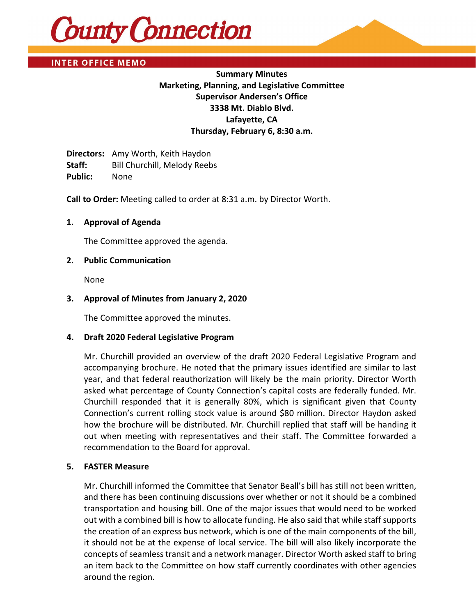

**INTER OFFICE MEMO** 

# **Summary Minutes Marketing, Planning, and Legislative Committee Supervisor Andersen's Office 3338 Mt. Diablo Blvd. Lafayette, CA Thursday, February 6, 8:30 a.m.**

**Directors:** Amy Worth, Keith Haydon Staff: Bill Churchill, Melody Reebs **Public:** None

**Call to Order:** Meeting called to order at 8:31 a.m. by Director Worth.

### **1. Approval of Agenda**

The Committee approved the agenda.

### **2. Public Communication**

None

### **3. Approval of Minutes from January 2, 2020**

The Committee approved the minutes.

#### **4. Draft 2020 Federal Legislative Program**

Mr. Churchill provided an overview of the draft 2020 Federal Legislative Program and accompanying brochure. He noted that the primary issues identified are similar to last year, and that federal reauthorization will likely be the main priority. Director Worth asked what percentage of County Connection's capital costs are federally funded. Mr. Churchill responded that it is generally 80%, which is significant given that County Connection's current rolling stock value is around \$80 million. Director Haydon asked how the brochure will be distributed. Mr. Churchill replied that staff will be handing it out when meeting with representatives and their staff. The Committee forwarded a recommendation to the Board for approval.

#### **5. FASTER Measure**

Mr. Churchill informed the Committee that Senator Beall's bill has still not been written, and there has been continuing discussions over whether or not it should be a combined transportation and housing bill. One of the major issues that would need to be worked out with a combined bill is how to allocate funding. He also said that while staff supports the creation of an express bus network, which is one of the main components of the bill, it should not be at the expense of local service. The bill will also likely incorporate the concepts of seamless transit and a network manager. Director Worth asked staff to bring an item back to the Committee on how staff currently coordinates with other agencies around the region.